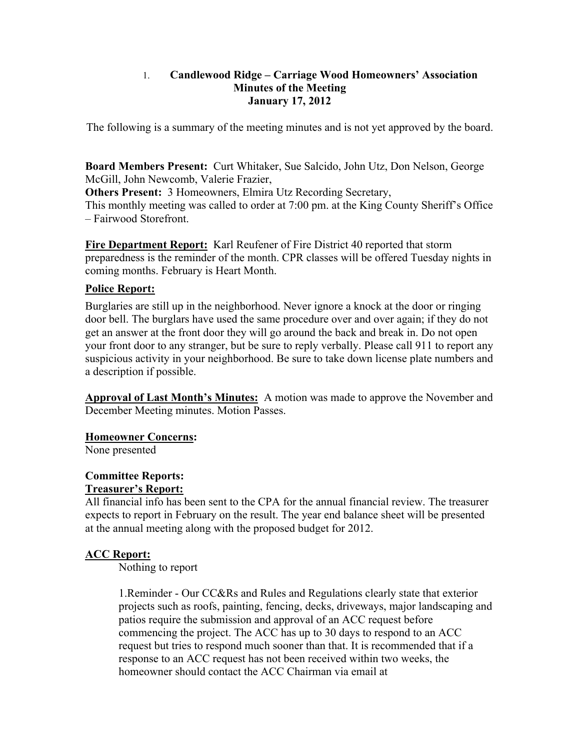## 1. **Candlewood Ridge – Carriage Wood Homeowners' Association Minutes of the Meeting January 17, 2012**

The following is a summary of the meeting minutes and is not yet approved by the board.

**Board Members Present:** Curt Whitaker, Sue Salcido, John Utz, Don Nelson, George McGill, John Newcomb, Valerie Frazier,

**Others Present:** 3 Homeowners, Elmira Utz Recording Secretary, This monthly meeting was called to order at 7:00 pm. at the King County Sheriff's Office – Fairwood Storefront.

**Fire Department Report:** Karl Reufener of Fire District 40 reported that storm preparedness is the reminder of the month. CPR classes will be offered Tuesday nights in coming months. February is Heart Month.

## **Police Report:**

Burglaries are still up in the neighborhood. Never ignore a knock at the door or ringing door bell. The burglars have used the same procedure over and over again; if they do not get an answer at the front door they will go around the back and break in. Do not open your front door to any stranger, but be sure to reply verbally. Please call 911 to report any suspicious activity in your neighborhood. Be sure to take down license plate numbers and a description if possible.

**Approval of Last Month's Minutes:** A motion was made to approve the November and December Meeting minutes. Motion Passes.

**Homeowner Concerns:** 

None presented

## **Committee Reports: Treasurer's Report:**

All financial info has been sent to the CPA for the annual financial review. The treasurer expects to report in February on the result. The year end balance sheet will be presented at the annual meeting along with the proposed budget for 2012.

#### **ACC Report:**

Nothing to report

1.Reminder - Our CC&Rs and Rules and Regulations clearly state that exterior projects such as roofs, painting, fencing, decks, driveways, major landscaping and patios require the submission and approval of an ACC request before commencing the project. The ACC has up to 30 days to respond to an ACC request but tries to respond much sooner than that. It is recommended that if a response to an ACC request has not been received within two weeks, the homeowner should contact the ACC Chairman via email at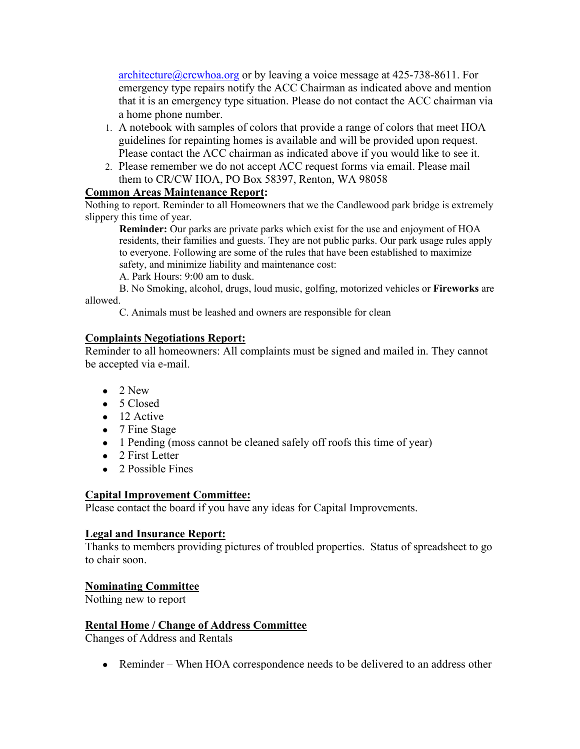$\architecture@crcwhoa.org$  or by leaving a voice message at 425-738-8611. For emergency type repairs notify the ACC Chairman as indicated above and mention that it is an emergency type situation. Please do not contact the ACC chairman via a home phone number.

- 1. A notebook with samples of colors that provide a range of colors that meet HOA guidelines for repainting homes is available and will be provided upon request. Please contact the ACC chairman as indicated above if you would like to see it.
- 2. Please remember we do not accept ACC request forms via email. Please mail them to CR/CW HOA, PO Box 58397, Renton, WA 98058

## **Common Areas Maintenance Report:**

Nothing to report. Reminder to all Homeowners that we the Candlewood park bridge is extremely slippery this time of year.

**Reminder:** Our parks are private parks which exist for the use and enjoyment of HOA residents, their families and guests. They are not public parks. Our park usage rules apply to everyone. Following are some of the rules that have been established to maximize safety, and minimize liability and maintenance cost:

A. Park Hours: 9:00 am to dusk.

B. No Smoking, alcohol, drugs, loud music, golfing, motorized vehicles or **Fireworks** are allowed.

C. Animals must be leashed and owners are responsible for clean

## **Complaints Negotiations Report:**

Reminder to all homeowners: All complaints must be signed and mailed in. They cannot be accepted via e-mail.

- $\bullet$  2 New
- 5 Closed
- 12 Active
- 7 Fine Stage
- 1 Pending (moss cannot be cleaned safely off roofs this time of year)
- 2 First Letter
- 2 Possible Fines

# **Capital Improvement Committee:**

Please contact the board if you have any ideas for Capital Improvements.

#### **Legal and Insurance Report:**

Thanks to members providing pictures of troubled properties. Status of spreadsheet to go to chair soon.

#### **Nominating Committee**

Nothing new to report

#### **Rental Home / Change of Address Committee**

Changes of Address and Rentals

• Reminder – When HOA correspondence needs to be delivered to an address other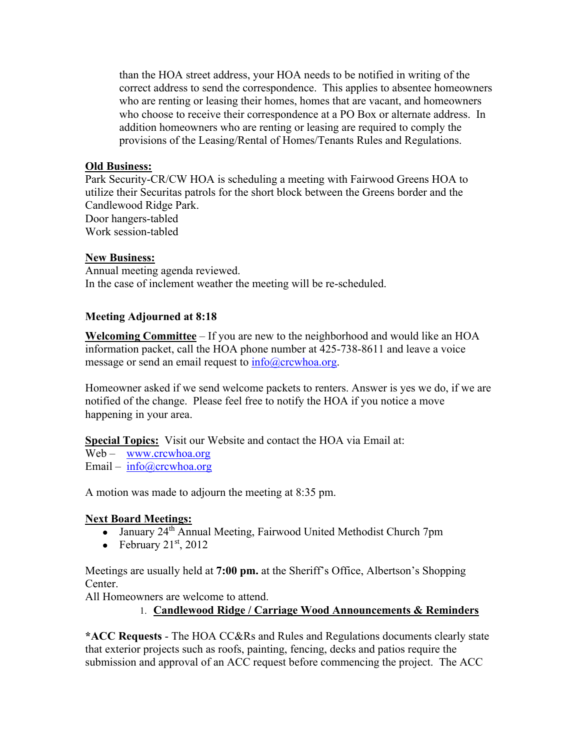than the HOA street address, your HOA needs to be notified in writing of the correct address to send the correspondence. This applies to absentee homeowners who are renting or leasing their homes, homes that are vacant, and homeowners who choose to receive their correspondence at a PO Box or alternate address. In addition homeowners who are renting or leasing are required to comply the provisions of the Leasing/Rental of Homes/Tenants Rules and Regulations.

## **Old Business:**

Park Security-CR/CW HOA is scheduling a meeting with Fairwood Greens HOA to utilize their Securitas patrols for the short block between the Greens border and the Candlewood Ridge Park. Door hangers-tabled Work session-tabled

#### **New Business:**

Annual meeting agenda reviewed. In the case of inclement weather the meeting will be re-scheduled.

## **Meeting Adjourned at 8:18**

**Welcoming Committee** – If you are new to the neighborhood and would like an HOA information packet, call the HOA phone number at 425-738-8611 and leave a voice message or send an email request to  $info@crcwhoa.org$ .

Homeowner asked if we send welcome packets to renters. Answer is yes we do, if we are notified of the change. Please feel free to notify the HOA if you notice a move happening in your area.

**Special Topics:** Visit our Website and contact the HOA via Email at:

Web – www.crcwhoa.org Email –  $info@crcwhoa.org$ 

A motion was made to adjourn the meeting at 8:35 pm.

#### **Next Board Meetings:**

- January 24<sup>th</sup> Annual Meeting, Fairwood United Methodist Church 7pm
- February  $21^{st}$ ,  $2012$

Meetings are usually held at **7:00 pm.** at the Sheriff's Office, Albertson's Shopping Center.

All Homeowners are welcome to attend.

#### 1. **Candlewood Ridge / Carriage Wood Announcements & Reminders**

**\*ACC Requests** - The HOA CC&Rs and Rules and Regulations documents clearly state that exterior projects such as roofs, painting, fencing, decks and patios require the submission and approval of an ACC request before commencing the project. The ACC